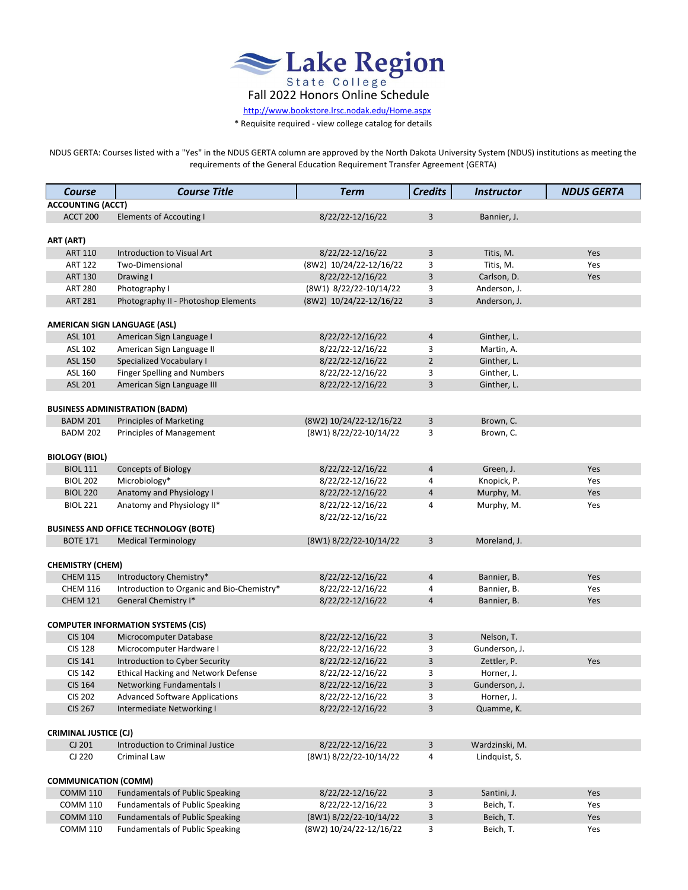

 [http://www.bo](http://www.bookstore.lrsc.nodak.edu/Home.aspx)okstore.lrsc.nodak.edu/Home.aspx

\* Requisite required - view college catalog for details

NDUS GERTA: Courses listed with a "Yes" in the NDUS GERTA column are approved by the North Dakota University System (NDUS) institutions as meeting the requirements of the General Education Requirement Transfer Agreement (GERTA)

| Course                       | <b>Course Title</b>                          | <b>Term</b>             | <b>Credits</b> | <b>Instructor</b> | <b>NDUS GERTA</b> |  |  |
|------------------------------|----------------------------------------------|-------------------------|----------------|-------------------|-------------------|--|--|
| <b>ACCOUNTING (ACCT)</b>     |                                              |                         |                |                   |                   |  |  |
| <b>ACCT 200</b>              | <b>Elements of Accouting I</b>               | 8/22/22-12/16/22        | 3              | Bannier, J.       |                   |  |  |
|                              |                                              |                         |                |                   |                   |  |  |
| ART (ART)                    |                                              |                         |                |                   |                   |  |  |
| <b>ART 110</b>               | Introduction to Visual Art                   | 8/22/22-12/16/22        | $\overline{3}$ | Titis, M.         | Yes               |  |  |
| <b>ART 122</b>               | Two-Dimensional                              | (8W2) 10/24/22-12/16/22 | 3              | Titis, M.         | Yes               |  |  |
| <b>ART 130</b>               | Drawing I                                    | 8/22/22-12/16/22        | 3              | Carlson, D.       | Yes               |  |  |
| <b>ART 280</b>               | Photography I                                | (8W1) 8/22/22-10/14/22  | 3              | Anderson, J.      |                   |  |  |
| <b>ART 281</b>               | Photography II - Photoshop Elements          | (8W2) 10/24/22-12/16/22 | 3              | Anderson, J.      |                   |  |  |
|                              |                                              |                         |                |                   |                   |  |  |
|                              | <b>AMERICAN SIGN LANGUAGE (ASL)</b>          |                         |                |                   |                   |  |  |
| ASL 101                      | American Sign Language I                     | 8/22/22-12/16/22        | 4              | Ginther, L.       |                   |  |  |
| ASL 102                      | American Sign Language II                    | 8/22/22-12/16/22        | 3              | Martin, A.        |                   |  |  |
| ASL 150                      | <b>Specialized Vocabulary I</b>              | 8/22/22-12/16/22        | 2              | Ginther, L.       |                   |  |  |
| ASL 160                      | <b>Finger Spelling and Numbers</b>           | 8/22/22-12/16/22        | 3              | Ginther, L.       |                   |  |  |
| ASL 201                      | American Sign Language III                   | 8/22/22-12/16/22        | 3              | Ginther, L.       |                   |  |  |
|                              |                                              |                         |                |                   |                   |  |  |
|                              | <b>BUSINESS ADMINISTRATION (BADM)</b>        |                         |                |                   |                   |  |  |
| <b>BADM 201</b>              | <b>Principles of Marketing</b>               | (8W2) 10/24/22-12/16/22 | 3              | Brown, C.         |                   |  |  |
| <b>BADM 202</b>              | <b>Principles of Management</b>              | (8W1) 8/22/22-10/14/22  | 3              | Brown, C.         |                   |  |  |
|                              |                                              |                         |                |                   |                   |  |  |
| <b>BIOLOGY (BIOL)</b>        |                                              |                         |                |                   |                   |  |  |
| <b>BIOL 111</b>              | <b>Concepts of Biology</b>                   | 8/22/22-12/16/22        | 4              | Green, J.         | Yes               |  |  |
| <b>BIOL 202</b>              | Microbiology*                                | 8/22/22-12/16/22        | 4              | Knopick, P.       | Yes               |  |  |
| <b>BIOL 220</b>              | Anatomy and Physiology I                     | 8/22/22-12/16/22        | 4              | Murphy, M.        | Yes               |  |  |
| <b>BIOL 221</b>              | Anatomy and Physiology II*                   | 8/22/22-12/16/22        | 4              | Murphy, M.        | Yes               |  |  |
|                              |                                              | 8/22/22-12/16/22        |                |                   |                   |  |  |
|                              | <b>BUSINESS AND OFFICE TECHNOLOGY (BOTE)</b> |                         |                |                   |                   |  |  |
| <b>BOTE 171</b>              | <b>Medical Terminology</b>                   | (8W1) 8/22/22-10/14/22  | 3              | Moreland, J.      |                   |  |  |
|                              |                                              |                         |                |                   |                   |  |  |
| <b>CHEMISTRY (CHEM)</b>      |                                              |                         |                |                   |                   |  |  |
| <b>CHEM 115</b>              | Introductory Chemistry*                      | 8/22/22-12/16/22        | 4              | Bannier, B.       | Yes               |  |  |
| <b>CHEM 116</b>              | Introduction to Organic and Bio-Chemistry*   | 8/22/22-12/16/22        | 4              | Bannier, B.       | Yes               |  |  |
| <b>CHEM 121</b>              | General Chemistry I*                         | 8/22/22-12/16/22        | $\overline{4}$ | Bannier, B.       | Yes               |  |  |
|                              |                                              |                         |                |                   |                   |  |  |
|                              | <b>COMPUTER INFORMATION SYSTEMS (CIS)</b>    |                         |                |                   |                   |  |  |
| <b>CIS 104</b>               | Microcomputer Database                       | 8/22/22-12/16/22        | $\overline{3}$ | Nelson, T.        |                   |  |  |
| <b>CIS 128</b>               | Microcomputer Hardware I                     | 8/22/22-12/16/22        | 3              | Gunderson, J.     |                   |  |  |
| <b>CIS 141</b>               | Introduction to Cyber Security               | 8/22/22-12/16/22        | 3              | Zettler, P.       | Yes               |  |  |
| <b>CIS 142</b>               | <b>Ethical Hacking and Network Defense</b>   | 8/22/22-12/16/22        | 3              | Horner, J.        |                   |  |  |
| <b>CIS 164</b>               | <b>Networking Fundamentals I</b>             | 8/22/22-12/16/22        | 3              | Gunderson, J.     |                   |  |  |
| <b>CIS 202</b>               | <b>Advanced Software Applications</b>        | 8/22/22-12/16/22        | 3              | Horner, J.        |                   |  |  |
| <b>CIS 267</b>               | Intermediate Networking I                    | 8/22/22-12/16/22        | 3              | Quamme, K.        |                   |  |  |
|                              |                                              |                         |                |                   |                   |  |  |
| <b>CRIMINAL JUSTICE (CJ)</b> |                                              |                         |                |                   |                   |  |  |
| CJ 201                       | Introduction to Criminal Justice             | 8/22/22-12/16/22        | 3              | Wardzinski, M.    |                   |  |  |
| CJ 220                       | Criminal Law                                 | (8W1) 8/22/22-10/14/22  | 4              | Lindquist, S.     |                   |  |  |
|                              |                                              |                         |                |                   |                   |  |  |
| <b>COMMUNICATION (COMM)</b>  |                                              |                         |                |                   |                   |  |  |
| <b>COMM 110</b>              | <b>Fundamentals of Public Speaking</b>       | 8/22/22-12/16/22        | 3              | Santini, J.       | Yes               |  |  |
| <b>COMM 110</b>              | <b>Fundamentals of Public Speaking</b>       | 8/22/22-12/16/22        | 3              | Beich, T.         | Yes               |  |  |
| <b>COMM 110</b>              | <b>Fundamentals of Public Speaking</b>       | (8W1) 8/22/22-10/14/22  | 3              | Beich, T.         | Yes               |  |  |
| <b>COMM 110</b>              | <b>Fundamentals of Public Speaking</b>       | (8W2) 10/24/22-12/16/22 | 3              | Beich, T.         | Yes               |  |  |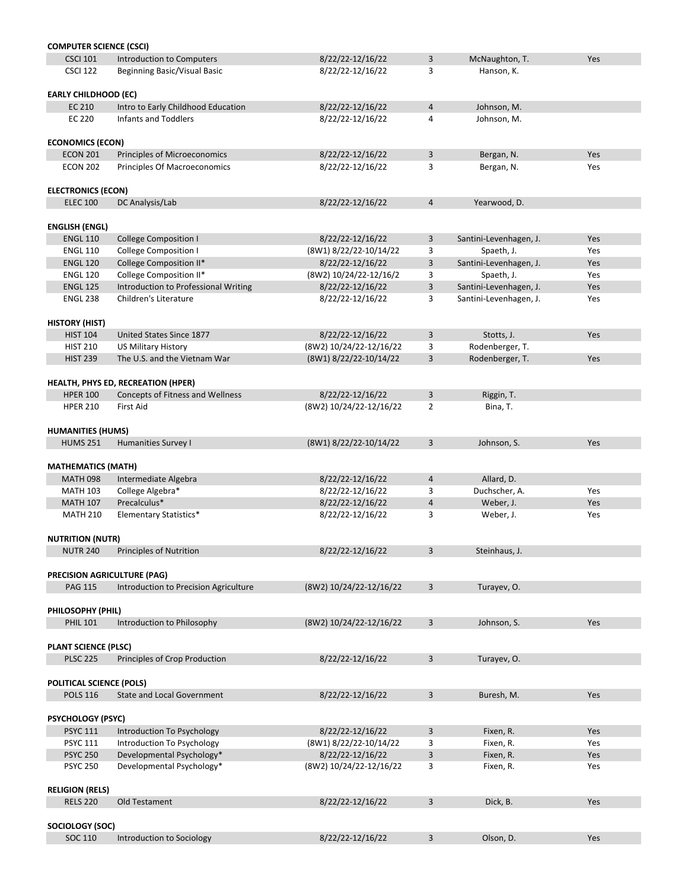| <b>COMPUTER SCIENCE (CSCI)</b>  |                                         |                         |                |                        |     |
|---------------------------------|-----------------------------------------|-------------------------|----------------|------------------------|-----|
| <b>CSCI 101</b>                 | <b>Introduction to Computers</b>        | 8/22/22-12/16/22        | 3              | McNaughton, T.         | Yes |
| <b>CSCI 122</b>                 | <b>Beginning Basic/Visual Basic</b>     | 8/22/22-12/16/22        | 3              | Hanson, K.             |     |
|                                 |                                         |                         |                |                        |     |
|                                 |                                         |                         |                |                        |     |
| <b>EARLY CHILDHOOD (EC)</b>     |                                         |                         |                |                        |     |
| EC 210                          | Intro to Early Childhood Education      | 8/22/22-12/16/22        | 4              | Johnson, M.            |     |
| <b>EC 220</b>                   | <b>Infants and Toddlers</b>             | 8/22/22-12/16/22        | 4              | Johnson, M.            |     |
|                                 |                                         |                         |                |                        |     |
| <b>ECONOMICS (ECON)</b>         |                                         |                         |                |                        |     |
| <b>ECON 201</b>                 | Principles of Microeconomics            | 8/22/22-12/16/22        | 3              | Bergan, N.             | Yes |
| <b>ECON 202</b>                 | <b>Principles Of Macroeconomics</b>     | 8/22/22-12/16/22        | 3              | Bergan, N.             | Yes |
|                                 |                                         |                         |                |                        |     |
|                                 |                                         |                         |                |                        |     |
| <b>ELECTRONICS (ECON)</b>       |                                         |                         |                |                        |     |
| <b>ELEC 100</b>                 | DC Analysis/Lab                         | 8/22/22-12/16/22        | $\overline{4}$ | Yearwood, D.           |     |
|                                 |                                         |                         |                |                        |     |
| <b>ENGLISH (ENGL)</b>           |                                         |                         |                |                        |     |
| <b>ENGL 110</b>                 | <b>College Composition I</b>            | 8/22/22-12/16/22        | 3              | Santini-Levenhagen, J. | Yes |
| <b>ENGL 110</b>                 | <b>College Composition I</b>            | (8W1) 8/22/22-10/14/22  | 3              | Spaeth, J.             | Yes |
|                                 |                                         |                         |                |                        |     |
| <b>ENGL 120</b>                 | College Composition II*                 | 8/22/22-12/16/22        | 3              | Santini-Levenhagen, J. | Yes |
| <b>ENGL 120</b>                 | College Composition II*                 | (8W2) 10/24/22-12/16/2  | 3              | Spaeth, J.             | Yes |
| <b>ENGL 125</b>                 | Introduction to Professional Writing    | 8/22/22-12/16/22        | 3              | Santini-Levenhagen, J. | Yes |
| <b>ENGL 238</b>                 | Children's Literature                   | 8/22/22-12/16/22        | 3              | Santini-Levenhagen, J. | Yes |
|                                 |                                         |                         |                |                        |     |
| <b>HISTORY (HIST)</b>           |                                         |                         |                |                        |     |
|                                 |                                         |                         |                |                        |     |
| <b>HIST 104</b>                 | United States Since 1877                | 8/22/22-12/16/22        | 3              | Stotts, J.             | Yes |
| <b>HIST 210</b>                 | <b>US Military History</b>              | (8W2) 10/24/22-12/16/22 | 3              | Rodenberger, T.        |     |
| <b>HIST 239</b>                 | The U.S. and the Vietnam War            | (8W1) 8/22/22-10/14/22  | 3              | Rodenberger, T.        | Yes |
|                                 |                                         |                         |                |                        |     |
|                                 | HEALTH, PHYS ED, RECREATION (HPER)      |                         |                |                        |     |
| <b>HPER 100</b>                 | <b>Concepts of Fitness and Wellness</b> | 8/22/22-12/16/22        | 3              | Riggin, T.             |     |
| <b>HPER 210</b>                 | <b>First Aid</b>                        | (8W2) 10/24/22-12/16/22 | $\overline{2}$ |                        |     |
|                                 |                                         |                         |                | Bina, T.               |     |
|                                 |                                         |                         |                |                        |     |
| <b>HUMANITIES (HUMS)</b>        |                                         |                         |                |                        |     |
| <b>HUMS 251</b>                 | <b>Humanities Survey I</b>              | (8W1) 8/22/22-10/14/22  | 3              | Johnson, S.            | Yes |
|                                 |                                         |                         |                |                        |     |
| <b>MATHEMATICS (MATH)</b>       |                                         |                         |                |                        |     |
| <b>MATH 098</b>                 | Intermediate Algebra                    | 8/22/22-12/16/22        | 4              | Allard, D.             |     |
|                                 |                                         |                         |                |                        |     |
| <b>MATH 103</b>                 | College Algebra*                        | 8/22/22-12/16/22        | 3              | Duchscher, A.          | Yes |
| <b>MATH 107</b>                 | Precalculus*                            | 8/22/22-12/16/22        | 4              | Weber, J.              | Yes |
| <b>MATH 210</b>                 | <b>Elementary Statistics*</b>           | 8/22/22-12/16/22        | 3              | Weber, J.              | Yes |
|                                 |                                         |                         |                |                        |     |
| <b>NUTRITION (NUTR)</b>         |                                         |                         |                |                        |     |
| <b>NUTR 240</b>                 | <b>Principles of Nutrition</b>          | 8/22/22-12/16/22        | 3              | Steinhaus, J.          |     |
|                                 |                                         |                         |                |                        |     |
|                                 |                                         |                         |                |                        |     |
|                                 | PRECISION AGRICULTURE (PAG)             |                         |                |                        |     |
| <b>PAG 115</b>                  | Introduction to Precision Agriculture   | (8W2) 10/24/22-12/16/22 | 3              | Turayev, O.            |     |
|                                 |                                         |                         |                |                        |     |
| PHILOSOPHY (PHIL)               |                                         |                         |                |                        |     |
| <b>PHIL 101</b>                 | Introduction to Philosophy              | (8W2) 10/24/22-12/16/22 | 3              | Johnson, S.            | Yes |
|                                 |                                         |                         |                |                        |     |
|                                 |                                         |                         |                |                        |     |
| <b>PLANT SCIENCE (PLSC)</b>     |                                         |                         |                |                        |     |
| <b>PLSC 225</b>                 | Principles of Crop Production           | 8/22/22-12/16/22        | 3              | Turayev, O.            |     |
|                                 |                                         |                         |                |                        |     |
| <b>POLITICAL SCIENCE (POLS)</b> |                                         |                         |                |                        |     |
| <b>POLS 116</b>                 | <b>State and Local Government</b>       | 8/22/22-12/16/22        | 3              | Buresh, M.             | Yes |
|                                 |                                         |                         |                |                        |     |
|                                 |                                         |                         |                |                        |     |
| <b>PSYCHOLOGY (PSYC)</b>        |                                         |                         |                |                        |     |
| <b>PSYC 111</b>                 | Introduction To Psychology              | 8/22/22-12/16/22        | 3              | Fixen, R.              | Yes |
| <b>PSYC 111</b>                 | <b>Introduction To Psychology</b>       | (8W1) 8/22/22-10/14/22  | 3              | Fixen, R.              | Yes |
| <b>PSYC 250</b>                 | Developmental Psychology*               | 8/22/22-12/16/22        | 3              | Fixen, R.              | Yes |
| <b>PSYC 250</b>                 | Developmental Psychology*               | (8W2) 10/24/22-12/16/22 | 3              | Fixen, R.              | Yes |
|                                 |                                         |                         |                |                        |     |
|                                 |                                         |                         |                |                        |     |
| <b>RELIGION (RELS)</b>          |                                         |                         |                |                        |     |
| <b>RELS 220</b>                 | Old Testament                           | 8/22/22-12/16/22        | $\mathsf{3}$   | Dick, B.               | Yes |
|                                 |                                         |                         |                |                        |     |
| SOCIOLOGY (SOC)                 |                                         |                         |                |                        |     |
| <b>SOC 110</b>                  | Introduction to Sociology               | 8/22/22-12/16/22        | 3              | Olson, D.              | Yes |
|                                 |                                         |                         |                |                        |     |